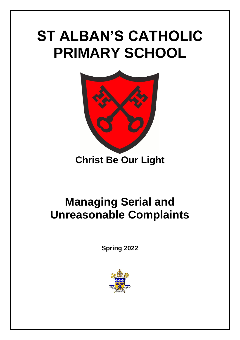## **ST ALBAN'S CATHOLIC PRIMARY SCHOOL**



## **Christ Be Our Light**

## **Managing Serial and Unreasonable Complaints**

**Spring 2022**